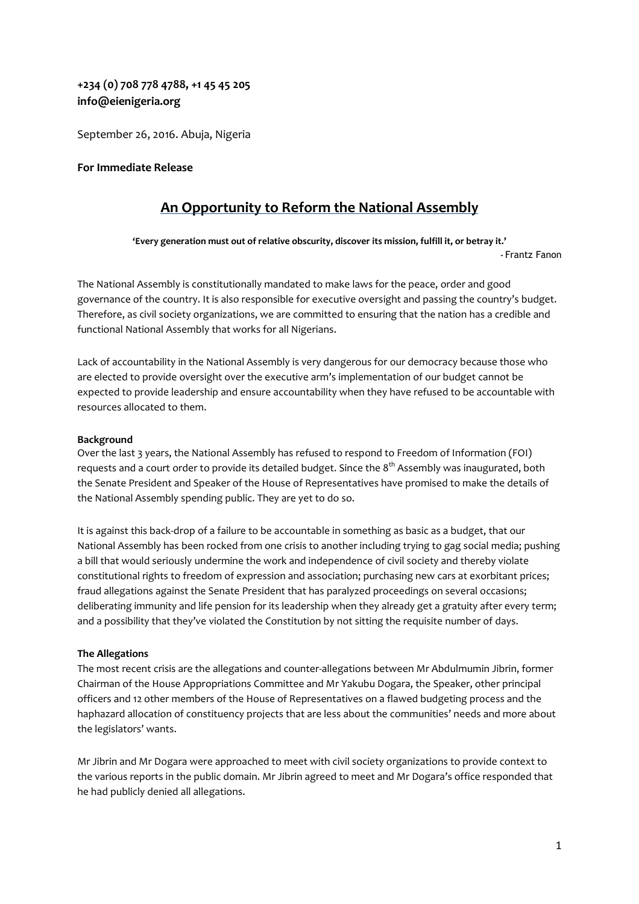# **+234 (0) 708 778 4788, +1 45 45 205 info@eienigeria.org**

September 26, 2016. Abuja, Nigeria

# **For Immediate Release**

# **An Opportunity to Reform the National Assembly**

**'Every generation must out of relative obscurity, discover its mission, fulfill it, or betray it.' -** Frantz Fanon

The National Assembly is constitutionally mandated to make laws for the peace, order and good governance of the country. It is also responsible for executive oversight and passing the country's budget. Therefore, as civil society organizations, we are committed to ensuring that the nation has a credible and functional National Assembly that works for all Nigerians.

Lack of accountability in the National Assembly is very dangerous for our democracy because those who are elected to provide oversight over the executive arm's implementation of our budget cannot be expected to provide leadership and ensure accountability when they have refused to be accountable with resources allocated to them.

# **Background**

Over the last 3 years, the National Assembly has refused to respond to Freedom of Information (FOI) requests and a court order to provide its detailed budget. Since the 8<sup>th</sup> Assembly was inaugurated, both the Senate President and Speaker of the House of Representatives have promised to make the details of the National Assembly spending public. They are yet to do so.

It is against this back-drop of a failure to be accountable in something as basic as a budget, that our National Assembly has been rocked from one crisis to another including trying to gag social media; pushing a bill that would seriously undermine the work and independence of civil society and thereby violate constitutional rights to freedom of expression and association; purchasing new cars at exorbitant prices; fraud allegations against the Senate President that has paralyzed proceedings on several occasions; deliberating immunity and life pension for its leadership when they already get a gratuity after every term; and a possibility that they've violated the Constitution by not sitting the requisite number of days.

# **The Allegations**

The most recent crisis are the allegations and counter-allegations between Mr Abdulmumin Jibrin, former Chairman of the House Appropriations Committee and Mr Yakubu Dogara, the Speaker, other principal officers and 12 other members of the House of Representatives on a flawed budgeting process and the haphazard allocation of constituency projects that are less about the communities' needs and more about the legislators' wants.

Mr Jibrin and Mr Dogara were approached to meet with civil society organizations to provide context to the various reports in the public domain. Mr Jibrin agreed to meet and Mr Dogara's office responded that he had publicly denied all allegations.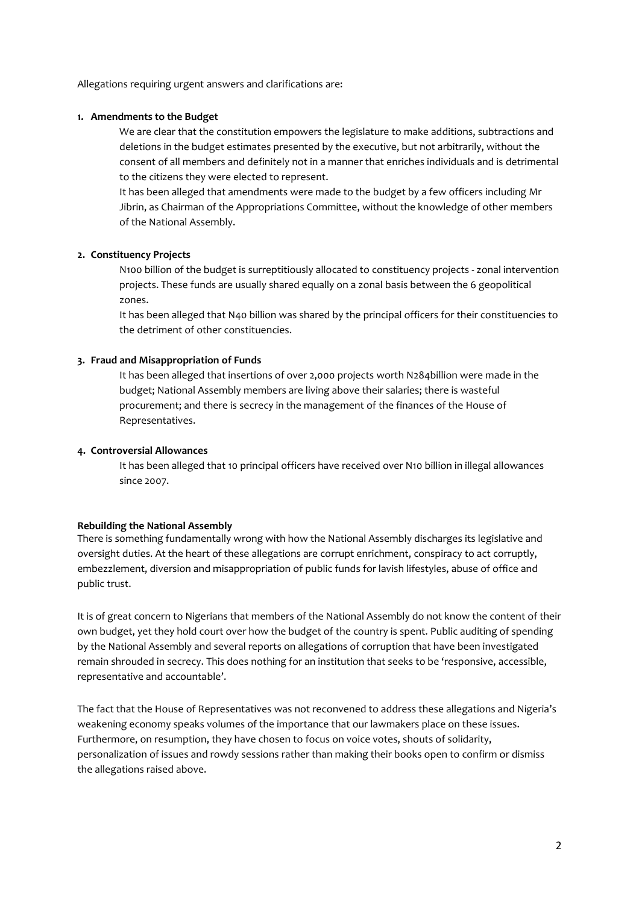Allegations requiring urgent answers and clarifications are:

## **1. Amendments to the Budget**

We are clear that the constitution empowers the legislature to make additions, subtractions and deletions in the budget estimates presented by the executive, but not arbitrarily, without the consent of all members and definitely not in a manner that enriches individuals and is detrimental to the citizens they were elected to represent.

It has been alleged that amendments were made to the budget by a few officers including Mr Jibrin, as Chairman of the Appropriations Committee, without the knowledge of other members of the National Assembly.

# **2. Constituency Projects**

N100 billion of the budget is surreptitiously allocated to constituency projects - zonal intervention projects. These funds are usually shared equally on a zonal basis between the 6 geopolitical zones.

It has been alleged that N40 billion was shared by the principal officers for their constituencies to the detriment of other constituencies.

## **3. Fraud and Misappropriation of Funds**

It has been alleged that insertions of over 2,000 projects worth N284billion were made in the budget; National Assembly members are living above their salaries; there is wasteful procurement; and there is secrecy in the management of the finances of the House of Representatives.

## **4. Controversial Allowances**

It has been alleged that 10 principal officers have received over N10 billion in illegal allowances since 2007.

#### **Rebuilding the National Assembly**

There is something fundamentally wrong with how the National Assembly discharges its legislative and oversight duties. At the heart of these allegations are corrupt enrichment, conspiracy to act corruptly, embezzlement, diversion and misappropriation of public funds for lavish lifestyles, abuse of office and public trust.

It is of great concern to Nigerians that members of the National Assembly do not know the content of their own budget, yet they hold court over how the budget of the country is spent. Public auditing of spending by the National Assembly and several reports on allegations of corruption that have been investigated remain shrouded in secrecy. This does nothing for an institution that seeks to be 'responsive, accessible, representative and accountable'.

The fact that the House of Representatives was not reconvened to address these allegations and Nigeria's weakening economy speaks volumes of the importance that our lawmakers place on these issues. Furthermore, on resumption, they have chosen to focus on voice votes, shouts of solidarity, personalization of issues and rowdy sessions rather than making their books open to confirm or dismiss the allegations raised above.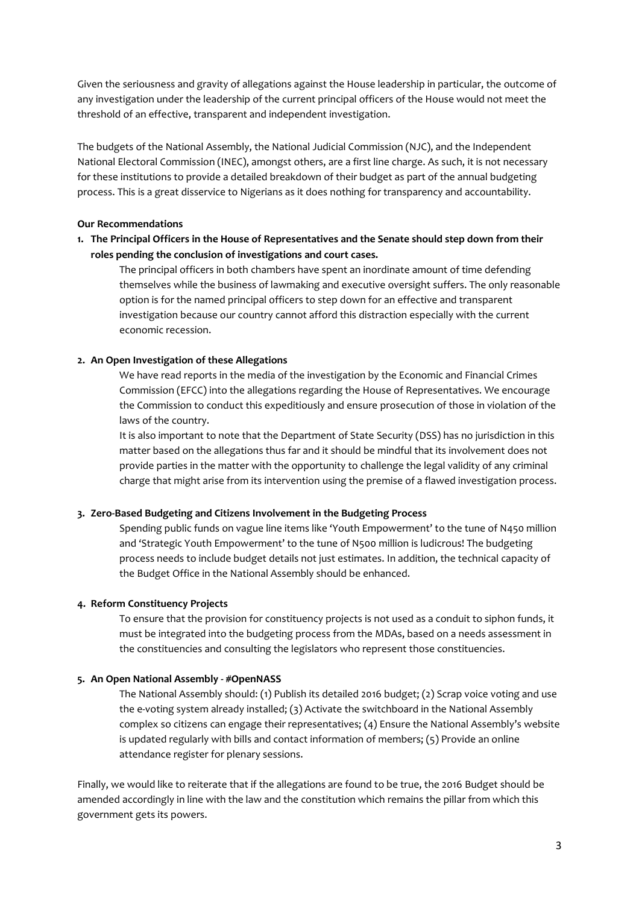Given the seriousness and gravity of allegations against the House leadership in particular, the outcome of any investigation under the leadership of the current principal officers of the House would not meet the threshold of an effective, transparent and independent investigation.

The budgets of the National Assembly, the National Judicial Commission (NJC), and the Independent National Electoral Commission (INEC), amongst others, are a first line charge. As such, it is not necessary for these institutions to provide a detailed breakdown of their budget as part of the annual budgeting process. This is a great disservice to Nigerians as it does nothing for transparency and accountability.

# **Our Recommendations**

**1. The Principal Officers in the House of Representatives and the Senate should step down from their roles pending the conclusion of investigations and court cases.**

The principal officers in both chambers have spent an inordinate amount of time defending themselves while the business of lawmaking and executive oversight suffers. The only reasonable option is for the named principal officers to step down for an effective and transparent investigation because our country cannot afford this distraction especially with the current economic recession.

# **2. An Open Investigation of these Allegations**

We have read reports in the media of the investigation by the Economic and Financial Crimes Commission (EFCC) into the allegations regarding the House of Representatives. We encourage the Commission to conduct this expeditiously and ensure prosecution of those in violation of the laws of the country.

It is also important to note that the Department of State Security (DSS) has no jurisdiction in this matter based on the allegations thus far and it should be mindful that its involvement does not provide parties in the matter with the opportunity to challenge the legal validity of any criminal charge that might arise from its intervention using the premise of a flawed investigation process.

# **3. Zero-Based Budgeting and Citizens Involvement in the Budgeting Process**

Spending public funds on vague line items like 'Youth Empowerment' to the tune of N450 million and 'Strategic Youth Empowerment' to the tune of N500 million is ludicrous! The budgeting process needs to include budget details not just estimates. In addition, the technical capacity of the Budget Office in the National Assembly should be enhanced.

# **4. Reform Constituency Projects**

To ensure that the provision for constituency projects is not used as a conduit to siphon funds, it must be integrated into the budgeting process from the MDAs, based on a needs assessment in the constituencies and consulting the legislators who represent those constituencies.

# **5. An Open National Assembly - #OpenNASS**

The National Assembly should: (1) Publish its detailed 2016 budget; (2) Scrap voice voting and use the e-voting system already installed; (3) Activate the switchboard in the National Assembly complex so citizens can engage their representatives; (4) Ensure the National Assembly's website is updated regularly with bills and contact information of members; (5) Provide an online attendance register for plenary sessions.

Finally, we would like to reiterate that if the allegations are found to be true, the 2016 Budget should be amended accordingly in line with the law and the constitution which remains the pillar from which this government gets its powers.